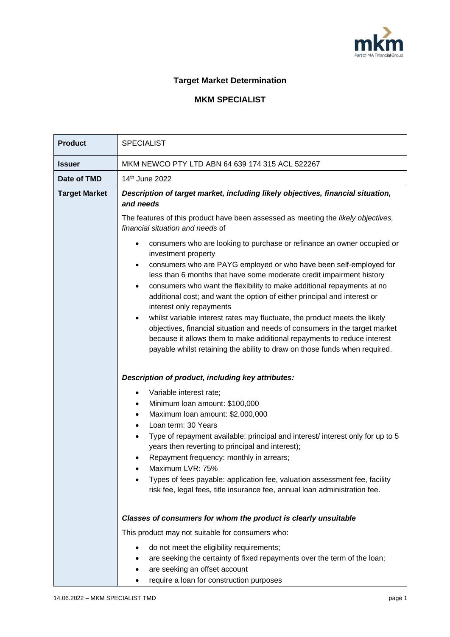

## **Target Market Determination**

## **MKM SPECIALIST**

| <b>Product</b>       | <b>SPECIALIST</b>                                                                                                                                                                                                                                                                                                                                                                                                                                                                                                                                                                                                                                                                                                                     |  |  |
|----------------------|---------------------------------------------------------------------------------------------------------------------------------------------------------------------------------------------------------------------------------------------------------------------------------------------------------------------------------------------------------------------------------------------------------------------------------------------------------------------------------------------------------------------------------------------------------------------------------------------------------------------------------------------------------------------------------------------------------------------------------------|--|--|
| <b>Issuer</b>        | MKM NEWCO PTY LTD ABN 64 639 174 315 ACL 522267                                                                                                                                                                                                                                                                                                                                                                                                                                                                                                                                                                                                                                                                                       |  |  |
| Date of TMD          | 14th June 2022                                                                                                                                                                                                                                                                                                                                                                                                                                                                                                                                                                                                                                                                                                                        |  |  |
| <b>Target Market</b> | Description of target market, including likely objectives, financial situation,<br>and needs<br>The features of this product have been assessed as meeting the likely objectives,<br>financial situation and needs of<br>consumers who are looking to purchase or refinance an owner occupied or<br>investment property<br>consumers who are PAYG employed or who have been self-employed for<br>less than 6 months that have some moderate credit impairment history<br>consumers who want the flexibility to make additional repayments at no<br>additional cost; and want the option of either principal and interest or<br>interest only repayments<br>whilst variable interest rates may fluctuate, the product meets the likely |  |  |
|                      | objectives, financial situation and needs of consumers in the target market<br>because it allows them to make additional repayments to reduce interest<br>payable whilst retaining the ability to draw on those funds when required.<br>Description of product, including key attributes:                                                                                                                                                                                                                                                                                                                                                                                                                                             |  |  |
|                      | Variable interest rate;<br>$\bullet$                                                                                                                                                                                                                                                                                                                                                                                                                                                                                                                                                                                                                                                                                                  |  |  |
|                      | Minimum Ioan amount: \$100,000<br>$\bullet$<br>Maximum Ioan amount: \$2,000,000                                                                                                                                                                                                                                                                                                                                                                                                                                                                                                                                                                                                                                                       |  |  |
|                      | Loan term: 30 Years<br>$\bullet$                                                                                                                                                                                                                                                                                                                                                                                                                                                                                                                                                                                                                                                                                                      |  |  |
|                      | Type of repayment available: principal and interest/ interest only for up to 5<br>$\bullet$<br>years then reverting to principal and interest);                                                                                                                                                                                                                                                                                                                                                                                                                                                                                                                                                                                       |  |  |
|                      | Repayment frequency: monthly in arrears;                                                                                                                                                                                                                                                                                                                                                                                                                                                                                                                                                                                                                                                                                              |  |  |
|                      | Maximum LVR: 75%<br>Types of fees payable: application fee, valuation assessment fee, facility                                                                                                                                                                                                                                                                                                                                                                                                                                                                                                                                                                                                                                        |  |  |
|                      | risk fee, legal fees, title insurance fee, annual loan administration fee.                                                                                                                                                                                                                                                                                                                                                                                                                                                                                                                                                                                                                                                            |  |  |
|                      | Classes of consumers for whom the product is clearly unsuitable                                                                                                                                                                                                                                                                                                                                                                                                                                                                                                                                                                                                                                                                       |  |  |
|                      | This product may not suitable for consumers who:                                                                                                                                                                                                                                                                                                                                                                                                                                                                                                                                                                                                                                                                                      |  |  |
|                      | do not meet the eligibility requirements;<br>are seeking the certainty of fixed repayments over the term of the loan;<br>are seeking an offset account                                                                                                                                                                                                                                                                                                                                                                                                                                                                                                                                                                                |  |  |

• require a loan for construction purposes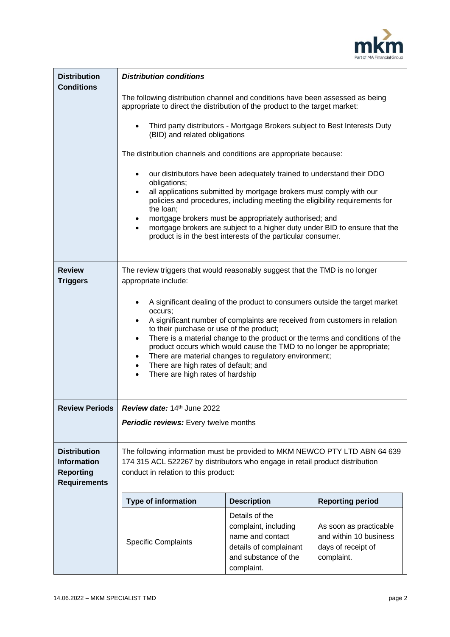

| <b>Distribution</b><br><b>Conditions</b>                                             | <b>Distribution conditions</b>                                                                                                                                                                                                                                                                                                                                                                                                                                                                                                                     |                                                                                                                            |                                                                                      |  |  |  |
|--------------------------------------------------------------------------------------|----------------------------------------------------------------------------------------------------------------------------------------------------------------------------------------------------------------------------------------------------------------------------------------------------------------------------------------------------------------------------------------------------------------------------------------------------------------------------------------------------------------------------------------------------|----------------------------------------------------------------------------------------------------------------------------|--------------------------------------------------------------------------------------|--|--|--|
|                                                                                      | The following distribution channel and conditions have been assessed as being<br>appropriate to direct the distribution of the product to the target market:                                                                                                                                                                                                                                                                                                                                                                                       |                                                                                                                            |                                                                                      |  |  |  |
|                                                                                      | Third party distributors - Mortgage Brokers subject to Best Interests Duty<br>(BID) and related obligations                                                                                                                                                                                                                                                                                                                                                                                                                                        |                                                                                                                            |                                                                                      |  |  |  |
|                                                                                      | The distribution channels and conditions are appropriate because:                                                                                                                                                                                                                                                                                                                                                                                                                                                                                  |                                                                                                                            |                                                                                      |  |  |  |
|                                                                                      | our distributors have been adequately trained to understand their DDO<br>$\bullet$<br>obligations;<br>all applications submitted by mortgage brokers must comply with our<br>$\bullet$<br>policies and procedures, including meeting the eligibility requirements for<br>the loan;<br>mortgage brokers must be appropriately authorised; and<br>$\bullet$<br>mortgage brokers are subject to a higher duty under BID to ensure that the<br>$\bullet$<br>product is in the best interests of the particular consumer.                               |                                                                                                                            |                                                                                      |  |  |  |
|                                                                                      |                                                                                                                                                                                                                                                                                                                                                                                                                                                                                                                                                    |                                                                                                                            |                                                                                      |  |  |  |
| <b>Review</b><br><b>Triggers</b>                                                     | The review triggers that would reasonably suggest that the TMD is no longer<br>appropriate include:                                                                                                                                                                                                                                                                                                                                                                                                                                                |                                                                                                                            |                                                                                      |  |  |  |
|                                                                                      | A significant dealing of the product to consumers outside the target market<br>٠<br>occurs;<br>A significant number of complaints are received from customers in relation<br>to their purchase or use of the product;<br>There is a material change to the product or the terms and conditions of the<br>$\bullet$<br>product occurs which would cause the TMD to no longer be appropriate;<br>There are material changes to regulatory environment;<br>٠<br>There are high rates of default; and<br>$\bullet$<br>There are high rates of hardship |                                                                                                                            |                                                                                      |  |  |  |
| <b>Review Periods</b>                                                                | <b>Review date:</b> $14th$ June 2022                                                                                                                                                                                                                                                                                                                                                                                                                                                                                                               |                                                                                                                            |                                                                                      |  |  |  |
|                                                                                      | Periodic reviews: Every twelve months                                                                                                                                                                                                                                                                                                                                                                                                                                                                                                              |                                                                                                                            |                                                                                      |  |  |  |
| <b>Distribution</b><br><b>Information</b><br><b>Reporting</b><br><b>Requirements</b> | The following information must be provided to MKM NEWCO PTY LTD ABN 64 639<br>174 315 ACL 522267 by distributors who engage in retail product distribution<br>conduct in relation to this product:                                                                                                                                                                                                                                                                                                                                                 |                                                                                                                            |                                                                                      |  |  |  |
|                                                                                      | <b>Type of information</b>                                                                                                                                                                                                                                                                                                                                                                                                                                                                                                                         | <b>Description</b>                                                                                                         | <b>Reporting period</b>                                                              |  |  |  |
|                                                                                      | <b>Specific Complaints</b>                                                                                                                                                                                                                                                                                                                                                                                                                                                                                                                         | Details of the<br>complaint, including<br>name and contact<br>details of complainant<br>and substance of the<br>complaint. | As soon as practicable<br>and within 10 business<br>days of receipt of<br>complaint. |  |  |  |